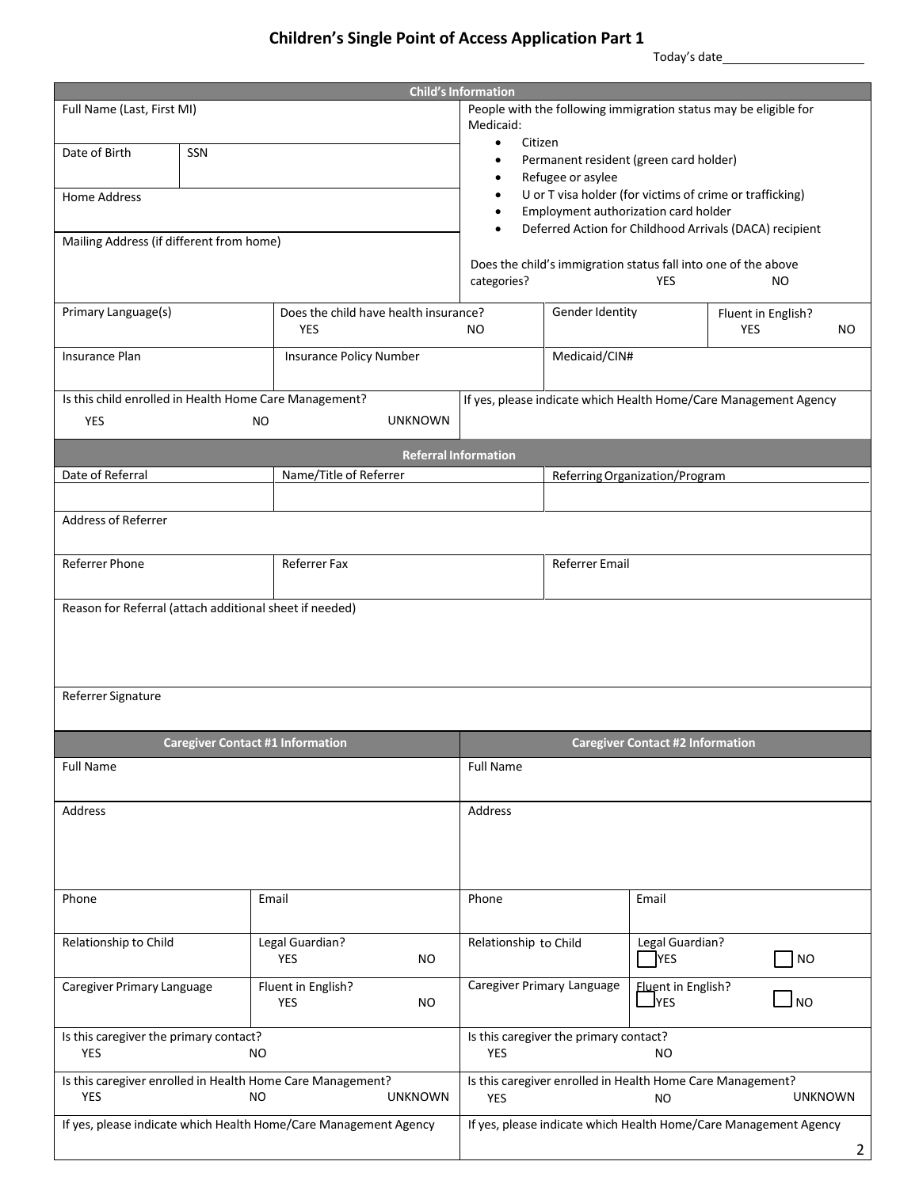# **Children's Single Point of Access Application Part 1**

Today's date

| <b>Child's Information</b>                                       |     |                                                     |                                                                              |                                         |                                        |                                |                                                                                  |     |
|------------------------------------------------------------------|-----|-----------------------------------------------------|------------------------------------------------------------------------------|-----------------------------------------|----------------------------------------|--------------------------------|----------------------------------------------------------------------------------|-----|
| Full Name (Last, First MI)                                       |     |                                                     | People with the following immigration status may be eligible for             |                                         |                                        |                                |                                                                                  |     |
|                                                                  |     |                                                     | Medicaid:                                                                    |                                         |                                        |                                |                                                                                  |     |
| Date of Birth                                                    | SSN |                                                     | Citizen<br>$\bullet$                                                         |                                         |                                        |                                |                                                                                  |     |
|                                                                  |     |                                                     |                                                                              |                                         | Permanent resident (green card holder) |                                |                                                                                  |     |
|                                                                  |     |                                                     |                                                                              |                                         | Refugee or asylee                      |                                | U or T visa holder (for victims of crime or trafficking)                         |     |
| Home Address                                                     |     |                                                     |                                                                              |                                         | Employment authorization card holder   |                                |                                                                                  |     |
|                                                                  |     |                                                     |                                                                              |                                         |                                        |                                | Deferred Action for Childhood Arrivals (DACA) recipient                          |     |
| Mailing Address (if different from home)                         |     |                                                     |                                                                              |                                         |                                        |                                |                                                                                  |     |
|                                                                  |     |                                                     |                                                                              | categories?                             |                                        | <b>YES</b>                     | Does the child's immigration status fall into one of the above<br>N <sub>O</sub> |     |
|                                                                  |     |                                                     |                                                                              |                                         |                                        |                                |                                                                                  |     |
| Primary Language(s)                                              |     | Does the child have health insurance?<br><b>YES</b> |                                                                              | NO.                                     | Gender Identity                        |                                | Fluent in English?<br><b>YES</b>                                                 | NO. |
| <b>Insurance Plan</b>                                            |     | <b>Insurance Policy Number</b>                      |                                                                              |                                         | Medicaid/CIN#                          |                                |                                                                                  |     |
|                                                                  |     |                                                     |                                                                              |                                         |                                        |                                |                                                                                  |     |
| Is this child enrolled in Health Home Care Management?           |     |                                                     |                                                                              |                                         |                                        |                                | If yes, please indicate which Health Home/Care Management Agency                 |     |
| <b>YES</b>                                                       |     | NO.                                                 | <b>UNKNOWN</b>                                                               |                                         |                                        |                                |                                                                                  |     |
|                                                                  |     |                                                     |                                                                              |                                         |                                        |                                |                                                                                  |     |
|                                                                  |     |                                                     | <b>Referral Information</b>                                                  |                                         |                                        |                                |                                                                                  |     |
| Date of Referral                                                 |     | Name/Title of Referrer                              |                                                                              |                                         |                                        | Referring Organization/Program |                                                                                  |     |
|                                                                  |     |                                                     |                                                                              |                                         |                                        |                                |                                                                                  |     |
| Address of Referrer                                              |     |                                                     |                                                                              |                                         |                                        |                                |                                                                                  |     |
|                                                                  |     |                                                     |                                                                              |                                         |                                        |                                |                                                                                  |     |
| Referrer Phone                                                   |     | <b>Referrer Fax</b>                                 |                                                                              |                                         | <b>Referrer Email</b>                  |                                |                                                                                  |     |
|                                                                  |     |                                                     |                                                                              |                                         |                                        |                                |                                                                                  |     |
| Reason for Referral (attach additional sheet if needed)          |     |                                                     |                                                                              |                                         |                                        |                                |                                                                                  |     |
|                                                                  |     |                                                     |                                                                              |                                         |                                        |                                |                                                                                  |     |
|                                                                  |     |                                                     |                                                                              |                                         |                                        |                                |                                                                                  |     |
|                                                                  |     |                                                     |                                                                              |                                         |                                        |                                |                                                                                  |     |
|                                                                  |     |                                                     |                                                                              |                                         |                                        |                                |                                                                                  |     |
| Referrer Signature                                               |     |                                                     |                                                                              |                                         |                                        |                                |                                                                                  |     |
|                                                                  |     |                                                     |                                                                              |                                         |                                        |                                |                                                                                  |     |
|                                                                  |     | <b>Caregiver Contact #1 Information</b>             |                                                                              | <b>Caregiver Contact #2 Information</b> |                                        |                                |                                                                                  |     |
| <b>Full Name</b>                                                 |     |                                                     |                                                                              | <b>Full Name</b>                        |                                        |                                |                                                                                  |     |
|                                                                  |     |                                                     |                                                                              |                                         |                                        |                                |                                                                                  |     |
| Address                                                          |     |                                                     |                                                                              | Address                                 |                                        |                                |                                                                                  |     |
|                                                                  |     |                                                     |                                                                              |                                         |                                        |                                |                                                                                  |     |
|                                                                  |     |                                                     |                                                                              |                                         |                                        |                                |                                                                                  |     |
|                                                                  |     |                                                     |                                                                              |                                         |                                        |                                |                                                                                  |     |
|                                                                  |     |                                                     |                                                                              |                                         |                                        |                                |                                                                                  |     |
| Phone                                                            |     | Email                                               |                                                                              | Phone                                   |                                        | Email                          |                                                                                  |     |
|                                                                  |     |                                                     |                                                                              |                                         |                                        |                                |                                                                                  |     |
| Relationship to Child                                            |     | Legal Guardian?                                     |                                                                              | Relationship to Child                   |                                        | Legal Guardian?                |                                                                                  |     |
|                                                                  |     | <b>YES</b>                                          | <b>NO</b>                                                                    |                                         |                                        | <b>TYES</b>                    | T NO                                                                             |     |
| Caregiver Primary Language                                       |     | Fluent in English?                                  |                                                                              |                                         | Caregiver Primary Language             | <b>Eluent in English?</b>      |                                                                                  |     |
|                                                                  |     | <b>YES</b>                                          | <b>NO</b>                                                                    |                                         |                                        | <b>J</b> yes                   | J NO                                                                             |     |
|                                                                  |     |                                                     |                                                                              |                                         |                                        |                                |                                                                                  |     |
| Is this caregiver the primary contact?<br><b>YES</b><br>NO.      |     |                                                     | YES                                                                          | Is this caregiver the primary contact?  | NO                                     |                                |                                                                                  |     |
|                                                                  |     |                                                     |                                                                              |                                         |                                        |                                |                                                                                  |     |
| Is this caregiver enrolled in Health Home Care Management?       |     |                                                     | Is this caregiver enrolled in Health Home Care Management?<br><b>UNKNOWN</b> |                                         |                                        |                                |                                                                                  |     |
| <b>YES</b><br>NO.<br><b>UNKNOWN</b>                              |     | YES                                                 |                                                                              | <b>NO</b>                               |                                        |                                |                                                                                  |     |
| If yes, please indicate which Health Home/Care Management Agency |     |                                                     | If yes, please indicate which Health Home/Care Management Agency             |                                         |                                        |                                |                                                                                  |     |
|                                                                  |     |                                                     | $\overline{2}$                                                               |                                         |                                        |                                |                                                                                  |     |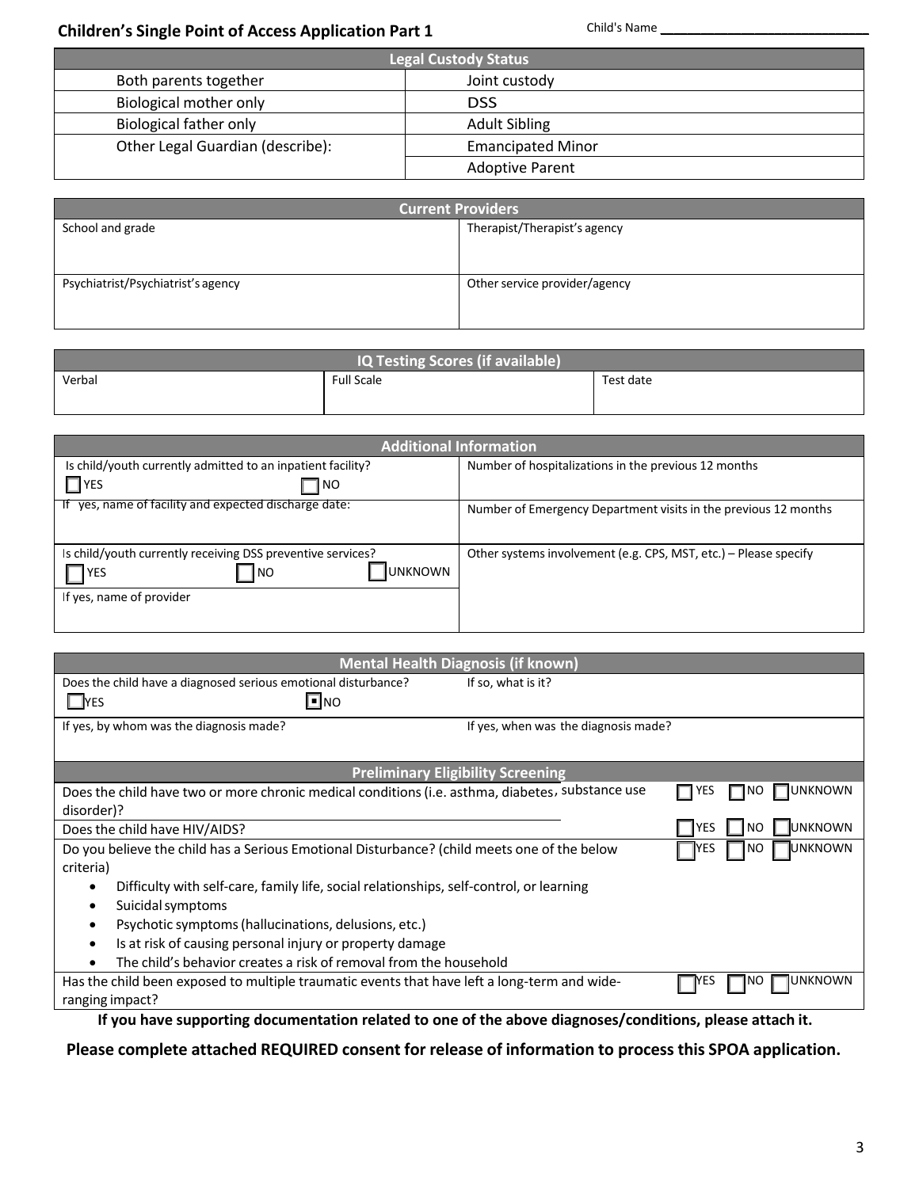# **Children's** Child's Name \_\_\_\_\_\_\_\_\_\_\_\_\_\_\_\_\_\_\_\_\_\_\_\_\_\_\_\_\_\_\_ **Single Point of Access Application Part 1**

| <b>Legal Custody Status</b>      |                          |  |
|----------------------------------|--------------------------|--|
| Both parents together            | Joint custody            |  |
| Biological mother only           | <b>DSS</b>               |  |
| Biological father only           | <b>Adult Sibling</b>     |  |
| Other Legal Guardian (describe): | <b>Emancipated Minor</b> |  |
|                                  | <b>Adoptive Parent</b>   |  |

| <b>Current Providers</b>           |                               |  |
|------------------------------------|-------------------------------|--|
| School and grade                   | Therapist/Therapist's agency  |  |
|                                    |                               |  |
|                                    |                               |  |
| Psychiatrist/Psychiatrist's agency | Other service provider/agency |  |
|                                    |                               |  |
|                                    |                               |  |

| IQ Testing Scores (if available) |                   |           |  |
|----------------------------------|-------------------|-----------|--|
| Verbal                           | <b>Full Scale</b> | Test date |  |
|                                  |                   |           |  |

| <b>Additional Information</b>                                                                                                   |                                                                  |  |  |
|---------------------------------------------------------------------------------------------------------------------------------|------------------------------------------------------------------|--|--|
| Is child/youth currently admitted to an inpatient facility?                                                                     | Number of hospitalizations in the previous 12 months             |  |  |
| $\Box$ YES<br>¶NO                                                                                                               |                                                                  |  |  |
| If yes, name of facility and expected discharge date:                                                                           | Number of Emergency Department visits in the previous 12 months  |  |  |
| Is child/youth currently receiving DSS preventive services?<br><b>UNKNOWN</b><br><b>IYES</b><br> NO<br>If yes, name of provider | Other systems involvement (e.g. CPS, MST, etc.) – Please specify |  |  |

|                                                                                                      | <b>Mental Health Diagnosis (if known)</b> |                                 |
|------------------------------------------------------------------------------------------------------|-------------------------------------------|---------------------------------|
| Does the child have a diagnosed serious emotional disturbance?                                       | If so, what is it?                        |                                 |
| $\square$ NO<br>$\square$ YES                                                                        |                                           |                                 |
| If yes, by whom was the diagnosis made?                                                              | If yes, when was the diagnosis made?      |                                 |
|                                                                                                      |                                           |                                 |
|                                                                                                      | <b>Preliminary Eligibility Screening</b>  |                                 |
| Does the child have two or more chronic medical conditions (i.e. asthma, diabetes, substance use     |                                           | UNKNOWN<br>YES                  |
| disorder)?                                                                                           |                                           |                                 |
| Does the child have HIV/AIDS?                                                                        |                                           | UNKNOWN<br><b>IYES</b><br>NO.   |
| Do you believe the child has a Serious Emotional Disturbance? (child meets one of the below          |                                           | <b>J</b> UNKNOWN<br>YES<br>I NO |
| criteria)                                                                                            |                                           |                                 |
| Difficulty with self-care, family life, social relationships, self-control, or learning<br>$\bullet$ |                                           |                                 |
| Suicidal symptoms<br>٠                                                                               |                                           |                                 |
| Psychotic symptoms (hallucinations, delusions, etc.)<br>$\bullet$                                    |                                           |                                 |
| Is at risk of causing personal injury or property damage<br>$\bullet$                                |                                           |                                 |
| The child's behavior creates a risk of removal from the household                                    |                                           |                                 |
| Has the child been exposed to multiple traumatic events that have left a long-term and wide-         |                                           | UNKNOWN<br>YES                  |
| ranging impact?                                                                                      |                                           |                                 |
|                                                                                                      |                                           |                                 |

**If you have supporting documentation related to one of the above diagnoses/conditions, please attach it.**

**Please complete attached REQUIRED consent for release of information to process this SPOA application.**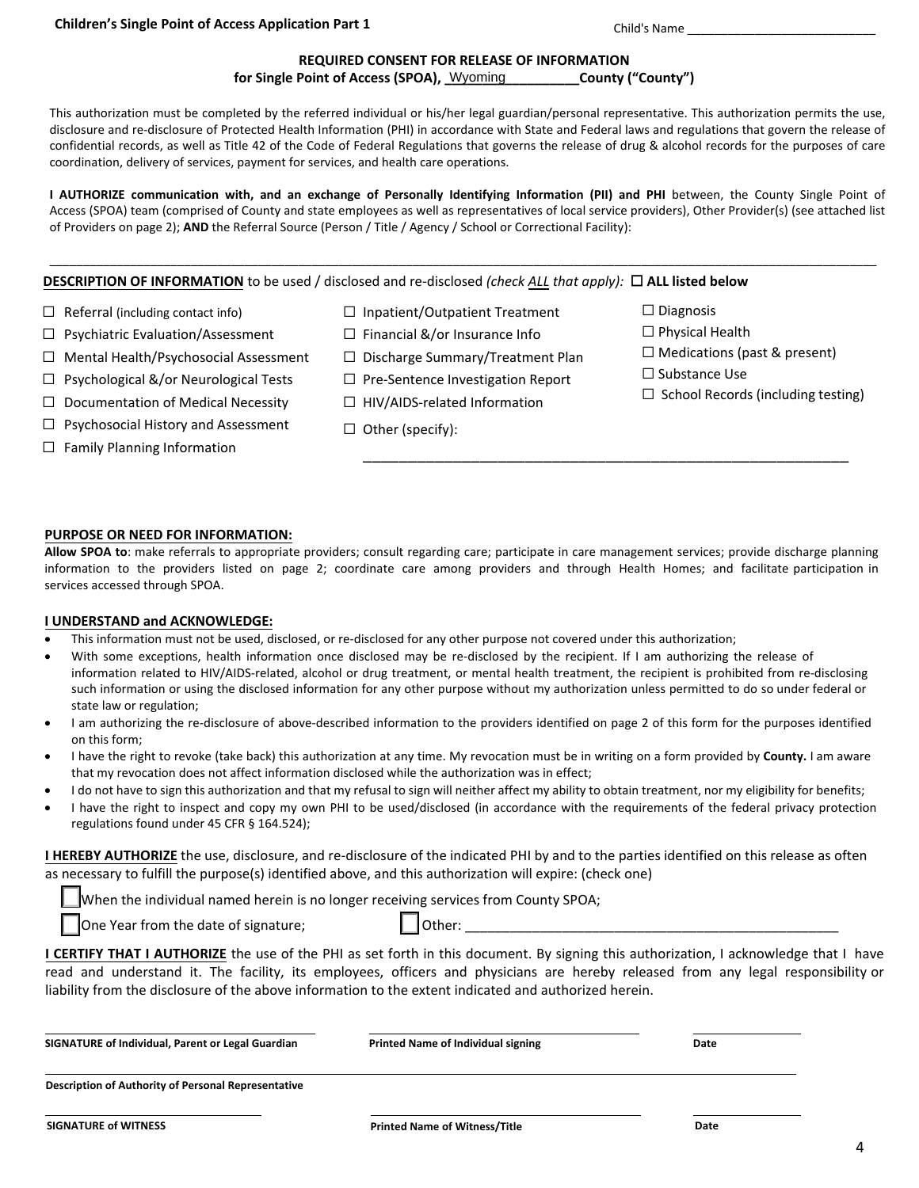Child's Name \_\_\_\_\_\_\_\_\_\_\_\_\_\_\_\_\_\_\_\_\_\_\_\_\_\_\_\_

### **REQUIRED CONSENT FOR RELEASE OF INFORMATION**

for Single Point of Access (SPOA), Wyoming **\_\_\_\_\_\_\_\_\_\_\_County ("County")** 

This authorization must be completed by the referred individual or his/her legal guardian/personal representative. This authorization permits the use, disclosure and re-disclosure of Protected Health Information (PHI) in accordance with State and Federal laws and regulations that govern the release of confidential records, as well as Title 42 of the Code of Federal Regulations that governs the release of drug & alcohol records for the purposes of care coordination, delivery of services, payment for services, and health care operations.

**I AUTHORIZE communication with, and an exchange of Personally Identifying Information (PII) and PHI** between, the County Single Point of Access (SPOA) team (comprised of County and state employees as well as representatives of local service providers), Other Provider(s) (see attached list of Providers on page 2); **AND** the Referral Source (Person / Title / Agency / School or Correctional Facility):

\_\_\_\_\_\_\_\_\_\_\_\_\_\_\_\_\_\_\_\_\_\_\_\_\_\_\_\_\_\_\_\_\_\_\_\_\_\_\_\_\_\_\_\_\_\_\_\_\_\_\_\_\_\_\_\_\_\_\_\_\_\_\_\_\_\_\_\_\_\_\_\_\_\_\_\_\_\_\_\_\_\_\_\_\_\_\_\_\_\_\_\_\_\_\_\_\_\_\_\_\_\_\_\_\_\_\_\_\_\_\_\_\_\_\_\_\_\_\_\_\_\_\_

## **DESCRIPTION OF INFORMATION** to be used / disclosed and re-disclosed *(check ALL that apply):* ☐ **ALL listed below**

- $\Box$  Referral (including contact info)
- ☐ Psychiatric Evaluation/Assessment
- ☐ Mental Health/Psychosocial Assessment
- $\Box$  Psychological &/or Neurological Tests
- $\Box$  Documentation of Medical Necessity
- ☐ Psychosocial History and Assessment
- $\Box$  Family Planning Information
- ☐ Inpatient/Outpatient Treatment
- $\Box$  Financial &/or Insurance Info
- ☐ Discharge Summary/Treatment Plan
- □ Pre-Sentence Investigation Report
- ☐ HIV/AIDS-related Information
- ☐ Other (specify):

☐ Diagnosis

\_\_\_\_\_\_\_\_\_\_\_\_\_\_\_\_\_\_\_\_\_\_\_\_\_\_\_\_\_\_\_\_\_\_\_\_\_\_\_\_\_\_\_\_\_\_\_\_\_\_\_\_\_\_

- ☐ Physical Health
- ☐ Medications (past & present)
- □ Substance Use
- $\Box$  School Records (including testing)

### **PURPOSE OR NEED FOR INFORMATION:**

**Allow SPOA to**: make referrals to appropriate providers; consult regarding care; participate in care management services; provide discharge planning information to the providers listed on page 2; coordinate care among providers and through Health Homes; and facilitate participation in services accessed through SPOA.

### **I UNDERSTAND and ACKNOWLEDGE:**

- This information must not be used, disclosed, or re-disclosed for any other purpose not covered under this authorization;
- With some exceptions, health information once disclosed may be re-disclosed by the recipient. If I am authorizing the release of information related to HIV/AIDS-related, alcohol or drug treatment, or mental health treatment, the recipient is prohibited from re-disclosing such information or using the disclosed information for any other purpose without my authorization unless permitted to do so under federal or state law or regulation;
- I am authorizing the re-disclosure of above-described information to the providers identified on page 2 of this form for the purposes identified on this form;
- I have the right to revoke (take back) this authorization at any time. My revocation must be in writing on a form provided by **County.** I am aware that my revocation does not affect information disclosed while the authorization was in effect;
- I do not have to sign this authorization and that my refusal to sign will neither affect my ability to obtain treatment, nor my eligibility for benefits;
- I have the right to inspect and copy my own PHI to be used/disclosed (in accordance with the requirements of the federal privacy protection regulations found under 45 CFR § 164.524);

**I HEREBY AUTHORIZE** the use, disclosure, and re-disclosure of the indicated PHI by and to the parties identified on this release as often as necessary to fulfill the purpose(s) identified above, and this authorization will expire: (check one)

When the individual named herein is no longer receiving services from County SPOA;

One Year from the date of signature;  $\Box$  Other:

**I CERTIFY THAT I AUTHORIZE** the use of the PHI as set forth in this document. By signing this authorization, I acknowledge that I have read and understand it. The facility, its employees, officers and physicians are hereby released from any legal responsibility or liability from the disclosure of the above information to the extent indicated and authorized herein.

| SIGNATURE of Individual, Parent or Legal Guardian          | <b>Printed Name of Individual signing</b> | Date |
|------------------------------------------------------------|-------------------------------------------|------|
| <b>Description of Authority of Personal Representative</b> |                                           |      |
|                                                            |                                           |      |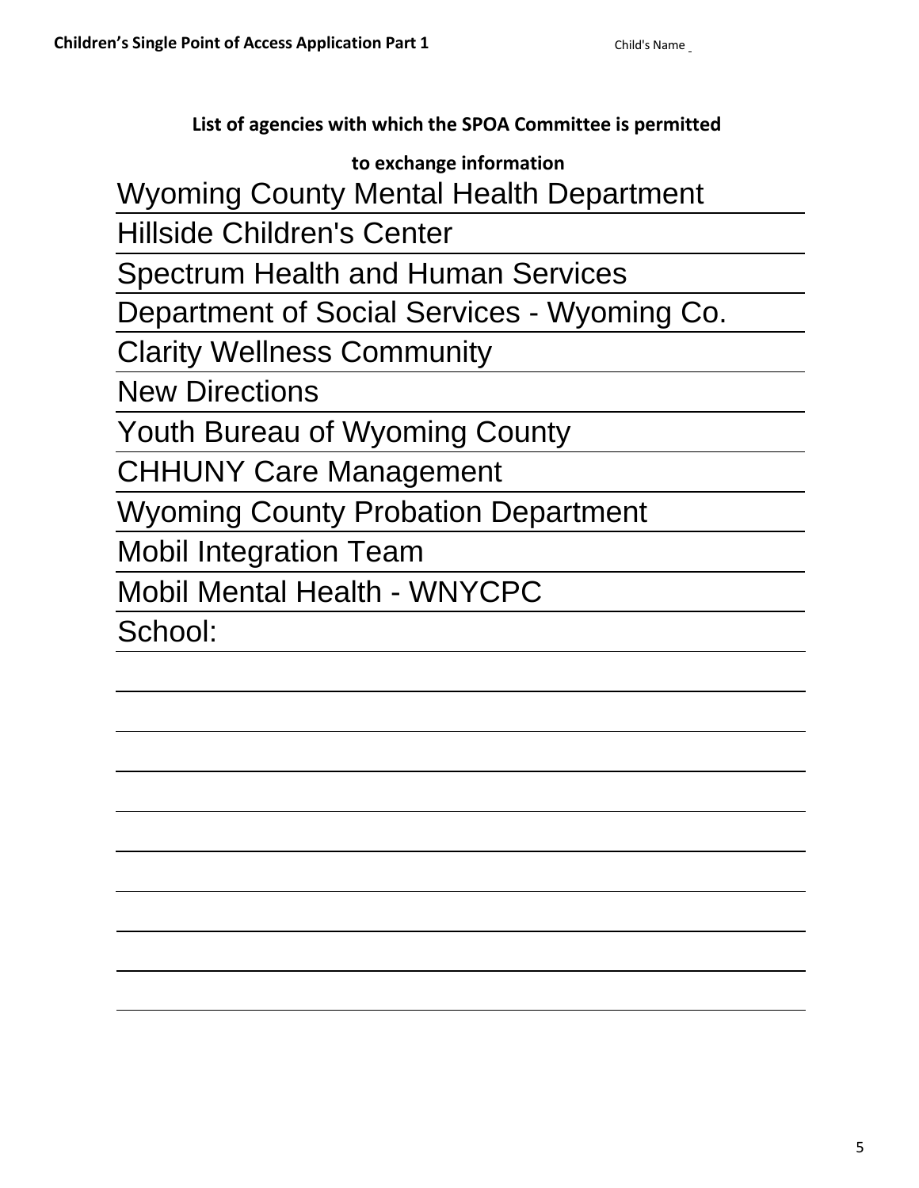**List of agencies with which the SPOA Committee is permitted**

# **to exchange information**

Wyoming County Mental Health Department

Hillside Children's Center

Spectrum Health and Human Services

Department of Social Services - Wyoming Co.

Clarity Wellness Community

New Directions

Youth Bureau of Wyoming County

CHHUNY Care Management

Wyoming County Probation Department

Mobil Integration Team

Mobil Mental Health - WNYCPC

School: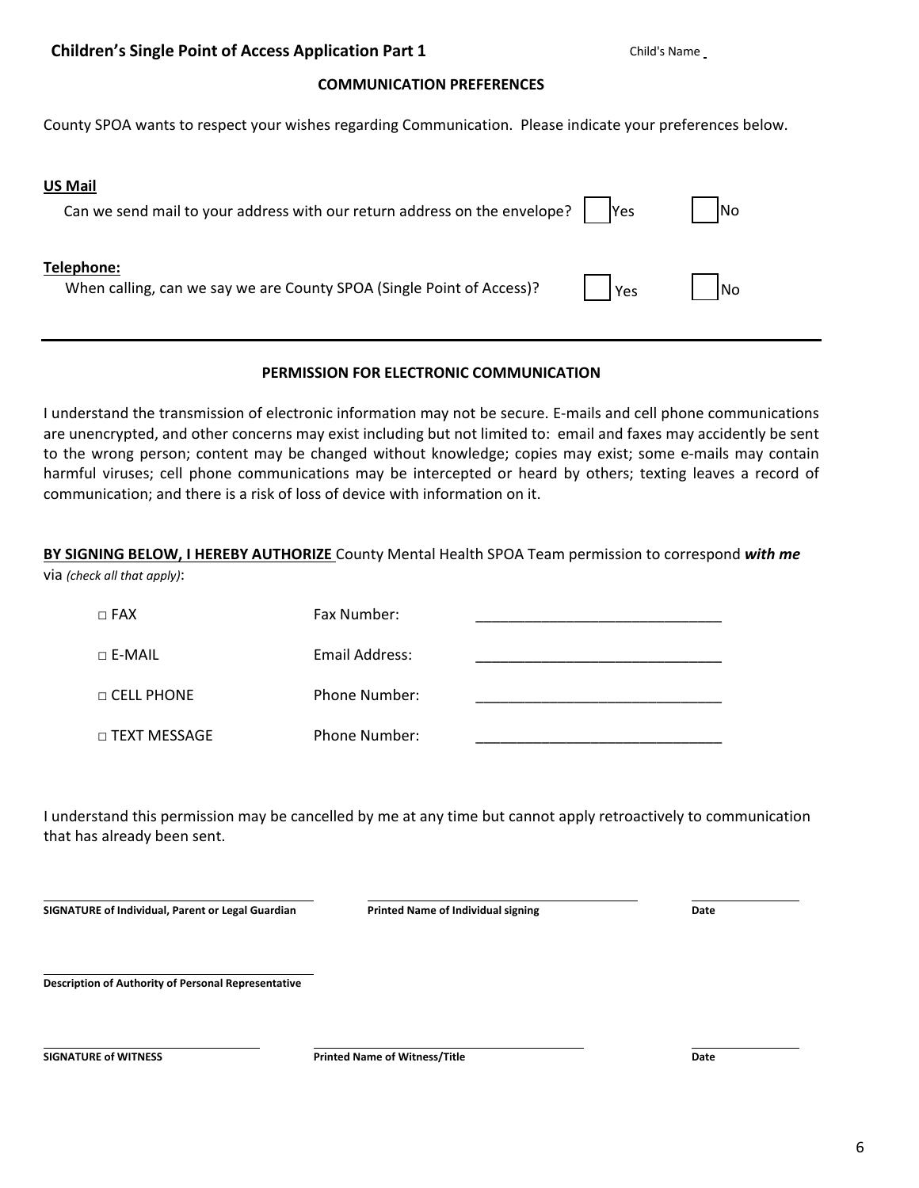# **COMMUNICATION PREFERENCES**

County SPOA wants to respect your wishes regarding Communication. Please indicate your preferences below.

| <b>US Mail</b><br>Can we send mail to your address with our return address on the envelope? | <b>Yes</b> | <b>INo</b> |
|---------------------------------------------------------------------------------------------|------------|------------|
| Telephone:<br>When calling, can we say we are County SPOA (Single Point of Access)?         | Yes        | <b>INo</b> |

# **PERMISSION FOR ELECTRONIC COMMUNICATION**

I understand the transmission of electronic information may not be secure. E-mails and cell phone communications are unencrypted, and other concerns may exist including but not limited to: email and faxes may accidently be sent to the wrong person; content may be changed without knowledge; copies may exist; some e-mails may contain harmful viruses; cell phone communications may be intercepted or heard by others; texting leaves a record of communication; and there is a risk of loss of device with information on it.

**BY SIGNING BELOW, I HEREBY AUTHORIZE** County Mental Health SPOA Team permission to correspond *with me* via *(check all that apply)*:

| $\Box$ FAX          | Fax Number:    |  |
|---------------------|----------------|--|
| $\sqcap$ E-MAIL     | Email Address: |  |
| $\Box$ CELL PHONE   | Phone Number:  |  |
| $\Box$ TEXT MESSAGE | Phone Number:  |  |

I understand this permission may be cancelled by me at any time but cannot apply retroactively to communication that has already been sent.

**SIGNATURE of Individual, Parent or Legal Guardian Printed Name of Individual signing Date**

**Description of Authority of Personal Representative** 

**SIGNATURE of WITNESS Printed Name of Witness/Title Date**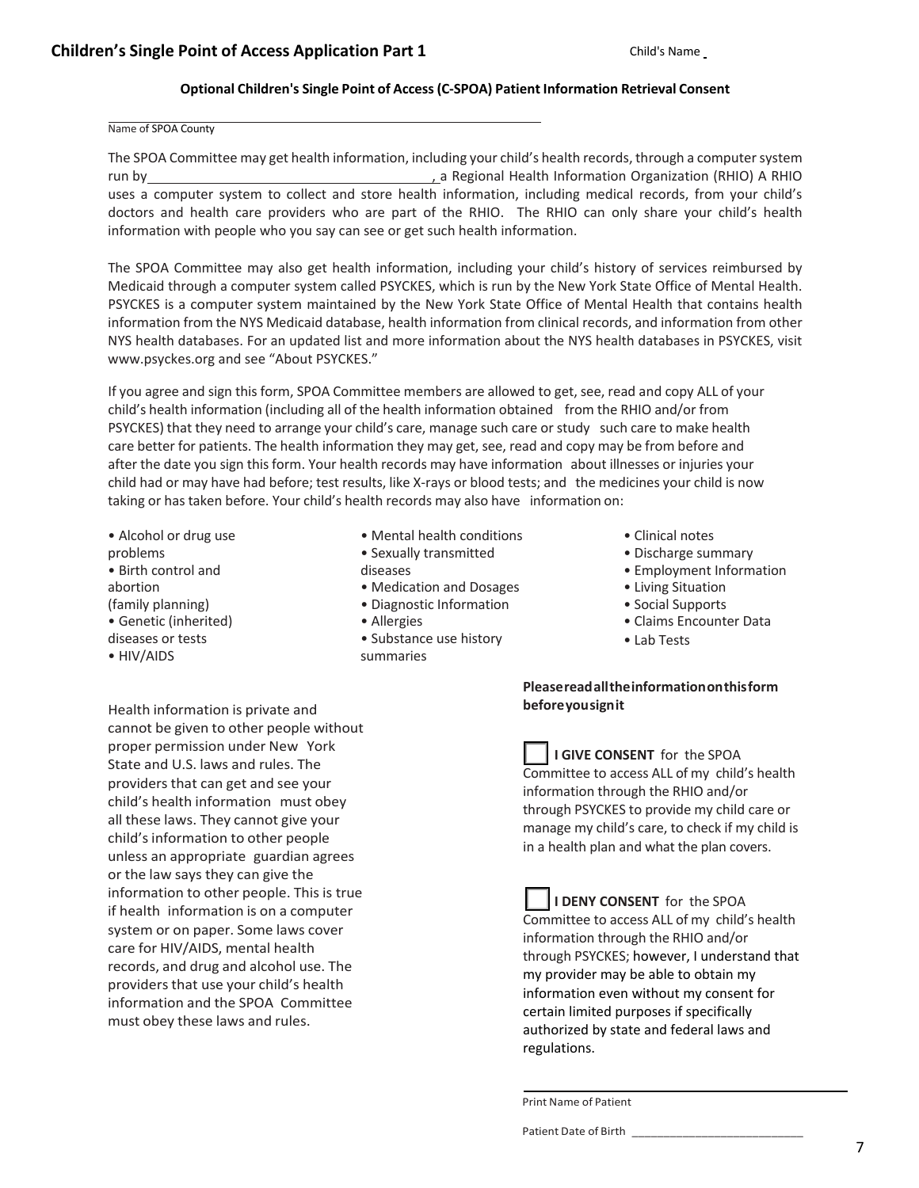# **Optional Children's Single Point of Access(C-SPOA) Patient Information Retrieval Consent**

### Name of SPOA County

The SPOA Committee may get health information, including your child's health records, through a computer system run by *dia a Regional Health Information Organization (RHIO)* A RHIO uses a computer system to collect and store health information, including medical records, from your child's doctors and health care providers who are part of the RHIO. The RHIO can only share your child's health information with people who you say can see or get such health information.

The SPOA Committee may also get health information, including your child's history of services reimbursed by Medicaid through a computer system called PSYCKES, which is run by the New York State Office of Mental Health. PSYCKES is a computer system maintained by the New York State Office of Mental Health that contains health information from the NYS Medicaid database, health information from clinical records, and information from other NYS health databases. For an updated list and more information about the NYS health databases in PSYCKES, visit www.psyckes.org and see "About PSYCKES."

If you agree and sign this form, SPOA Committee members are allowed to get, see, read and copy ALL of your child's health information (including all of the health information obtained from the RHIO and/or from PSYCKES) that they need to arrange your child's care, manage such care or study such care to make health care better for patients. The health information they may get, see, read and copy may be from before and after the date you sign this form. Your health records may have information about illnesses or injuries your child had or may have had before; test results, like X-rays or blood tests; and the medicines your child is now taking or has taken before. Your child's health records may also have information on:

- Alcohol or drug use problems • Birth control and abortion (family planning) • Genetic (inherited) diseases or tests
- HIV/AIDS

Health information is private and cannot be given to other people without proper permission under New York State and U.S. laws and rules. The providers that can get and see your child's health information must obey all these laws. They cannot give your child's information to other people unless an appropriate guardian agrees or the law says they can give the information to other people. This is true if health information is on a computer system or on paper. Some laws cover care for HIV/AIDS, mental health records, and drug and alcohol use. The providers that use your child's health information and the SPOA Committee must obey these laws and rules.

- Mental health conditions
- Sexually transmitted diseases
- Medication and Dosages
- Diagnostic Information
- Allergies
- Substance use history summaries
- Clinical notes
- Discharge summary
- Employment Information
- Living Situation
- Social Supports
- Claims Encounter Data
- Lab Tests

## **Please readalltheinformationonthisform beforeyousignit**

**I GIVE CONSENT** for the SPOA Committee to access ALL of my child's health information through the RHIO and/or through PSYCKES to provide my child care or manage my child's care, to check if my child is in a health plan and what the plan covers.

**I DENY CONSENT** for the SPOA Committee to access ALL of my child's health information through the RHIO and/or through PSYCKES; however, I understand that my provider may be able to obtain my information even without my consent for certain limited purposes if specifically authorized by state and federal laws and regulations.

Print Name of Patient